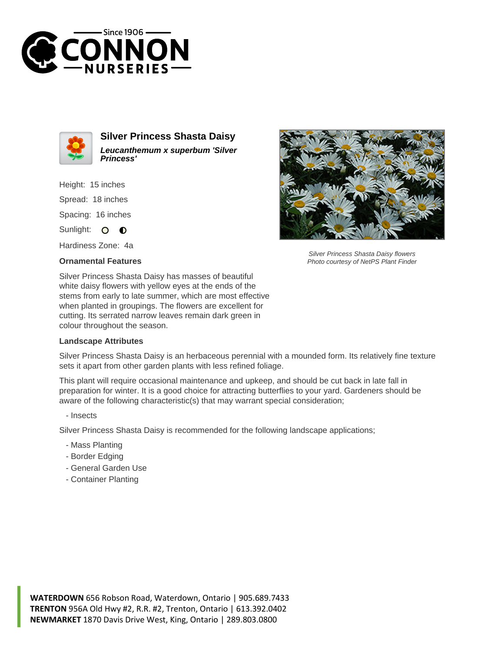



**Silver Princess Shasta Daisy Leucanthemum x superbum 'Silver Princess'**

Height: 15 inches Spread: 18 inches

Spacing: 16 inches

Sunlight: O O

Hardiness Zone: 4a

## **Ornamental Features**



Silver Princess Shasta Daisy flowers Photo courtesy of NetPS Plant Finder

Silver Princess Shasta Daisy has masses of beautiful white daisy flowers with yellow eyes at the ends of the stems from early to late summer, which are most effective when planted in groupings. The flowers are excellent for cutting. Its serrated narrow leaves remain dark green in colour throughout the season.

## **Landscape Attributes**

Silver Princess Shasta Daisy is an herbaceous perennial with a mounded form. Its relatively fine texture sets it apart from other garden plants with less refined foliage.

This plant will require occasional maintenance and upkeep, and should be cut back in late fall in preparation for winter. It is a good choice for attracting butterflies to your yard. Gardeners should be aware of the following characteristic(s) that may warrant special consideration;

## - Insects

Silver Princess Shasta Daisy is recommended for the following landscape applications;

- Mass Planting
- Border Edging
- General Garden Use
- Container Planting

**WATERDOWN** 656 Robson Road, Waterdown, Ontario | 905.689.7433 **TRENTON** 956A Old Hwy #2, R.R. #2, Trenton, Ontario | 613.392.0402 **NEWMARKET** 1870 Davis Drive West, King, Ontario | 289.803.0800